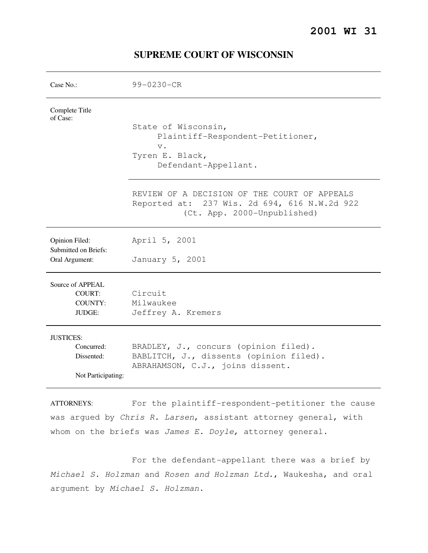# **2001 WI 31**

| Case No.:                                                          | 99-0230-CR                                                                                                                  |
|--------------------------------------------------------------------|-----------------------------------------------------------------------------------------------------------------------------|
| Complete Title<br>of Case:                                         | State of Wisconsin,<br>Plaintiff-Respondent-Petitioner,<br>$V$ .<br>Tyren E. Black,<br>Defendant-Appellant.                 |
|                                                                    | REVIEW OF A DECISION OF THE COURT OF APPEALS<br>Reported at: 237 Wis. 2d 694, 616 N.W.2d 922<br>(Ct. App. 2000-Unpublished) |
| Opinion Filed:<br>Submitted on Briefs:<br>Oral Argument:           | April 5, 2001<br>January 5, 2001                                                                                            |
| Source of APPEAL<br>COURT:<br><b>COUNTY:</b><br><b>JUDGE:</b>      | Circuit<br>Milwaukee<br>Jeffrey A. Kremers                                                                                  |
| <b>JUSTICES:</b><br>Concurred:<br>Dissented:<br>Not Participating: | BRADLEY, J., concurs (opinion filed).<br>BABLITCH, J., dissents (opinion filed).<br>ABRAHAMSON, C.J., joins dissent.        |
| A TTODMEVC.                                                        | $F \circ r$ the plaintiff representant potitioner the gaught                                                                |

# **SUPREME COURT OF WISCONSIN**

ATTORNEYS: For the plaintiff-respondent-petitioner the cause was argued by Chris R. Larsen, assistant attorney general, with whom on the briefs was James E. Doyle, attorney general.

 For the defendant-appellant there was a brief by Michael S. Holzman and Rosen and Holzman Ltd., Waukesha, and oral argument by Michael S. Holzman.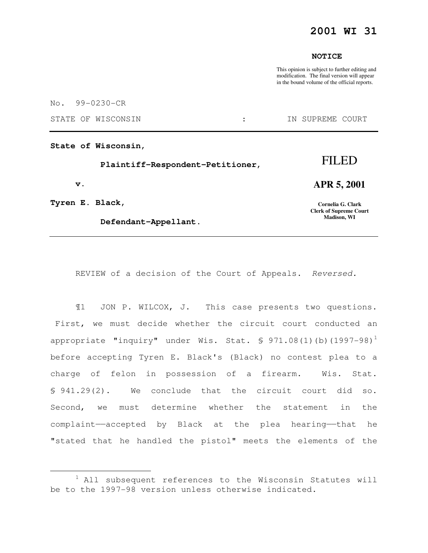## **2001 WI 31**

## **NOTICE**

This opinion is subject to further editing and modification. The final version will appear in the bound volume of the official reports.

No. 99-0230-CR

STATE OF WISCONSIN  $\qquad \qquad : \qquad \qquad$  IN SUPREME COURT

**State of Wisconsin,** 

 **Plaintiff-Respondent-Petitioner,** 

 **v.** 

i

**Tyren E. Black,** 

 **Defendant-Appellant.** 

# **APR 5, 2001**

FILED

**Cornelia G. Clark Clerk of Supreme Court Madison, WI** 

REVIEW of a decision of the Court of Appeals. Reversed.

¶1 JON P. WILCOX, J. This case presents two questions. First, we must decide whether the circuit court conducted an appropriate "inquiry" under Wis. Stat.  $\S$  971.08(1)(b)(1997-98)<sup>1</sup> before accepting Tyren E. Black's (Black) no contest plea to a charge of felon in possession of a firearm. Wis. Stat. § 941.29(2). We conclude that the circuit court did so. Second, we must determine whether the statement in the complaint——accepted by Black at the plea hearing——that he "stated that he handled the pistol" meets the elements of the

<sup>&</sup>lt;sup>1</sup> All subsequent references to the Wisconsin Statutes will be to the 1997-98 version unless otherwise indicated.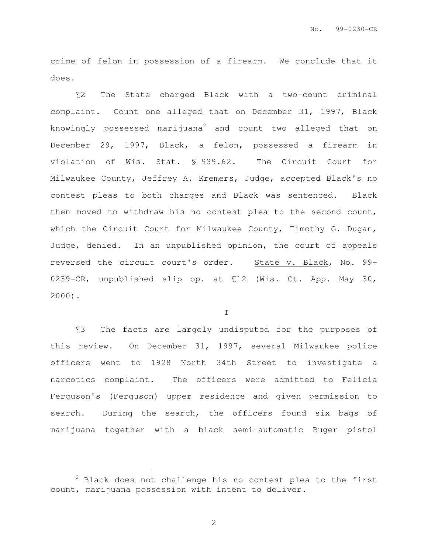crime of felon in possession of a firearm. We conclude that it does.

¶2 The State charged Black with a two-count criminal complaint. Count one alleged that on December 31, 1997, Black knowingly possessed marijuana<sup>2</sup> and count two alleged that on December 29, 1997, Black, a felon, possessed a firearm in violation of Wis. Stat. § 939.62. The Circuit Court for Milwaukee County, Jeffrey A. Kremers, Judge, accepted Black's no contest pleas to both charges and Black was sentenced. Black then moved to withdraw his no contest plea to the second count, which the Circuit Court for Milwaukee County, Timothy G. Dugan, Judge, denied. In an unpublished opinion, the court of appeals reversed the circuit court's order. State v. Black, No. 99- 0239-CR, unpublished slip op. at ¶12 (Wis. Ct. App. May 30, 2000).

I

¶3 The facts are largely undisputed for the purposes of this review. On December 31, 1997, several Milwaukee police officers went to 1928 North 34th Street to investigate a narcotics complaint. The officers were admitted to Felicia Ferguson's (Ferguson) upper residence and given permission to search. During the search, the officers found six bags of marijuana together with a black semi-automatic Ruger pistol

i

 $2$  Black does not challenge his no contest plea to the first count, marijuana possession with intent to deliver.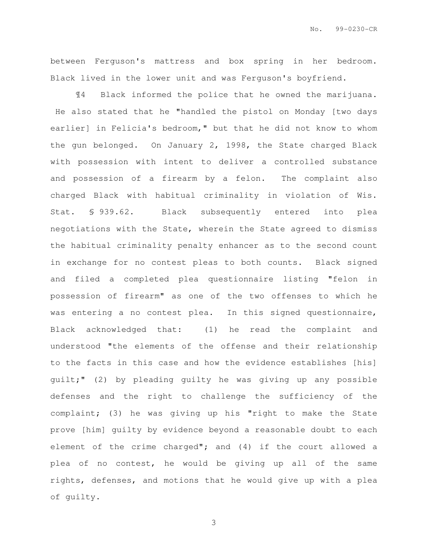between Ferguson's mattress and box spring in her bedroom. Black lived in the lower unit and was Ferguson's boyfriend.

¶4 Black informed the police that he owned the marijuana. He also stated that he "handled the pistol on Monday [two days earlier] in Felicia's bedroom," but that he did not know to whom the gun belonged. On January 2, 1998, the State charged Black with possession with intent to deliver a controlled substance and possession of a firearm by a felon. The complaint also charged Black with habitual criminality in violation of Wis. Stat. § 939.62. Black subsequently entered into plea negotiations with the State, wherein the State agreed to dismiss the habitual criminality penalty enhancer as to the second count in exchange for no contest pleas to both counts. Black signed and filed a completed plea questionnaire listing "felon in possession of firearm" as one of the two offenses to which he was entering a no contest plea. In this signed questionnaire, Black acknowledged that: (1) he read the complaint and understood "the elements of the offense and their relationship to the facts in this case and how the evidence establishes [his] guilt;" (2) by pleading guilty he was giving up any possible defenses and the right to challenge the sufficiency of the complaint; (3) he was giving up his "right to make the State prove [him] guilty by evidence beyond a reasonable doubt to each element of the crime charged"; and (4) if the court allowed a plea of no contest, he would be giving up all of the same rights, defenses, and motions that he would give up with a plea of guilty.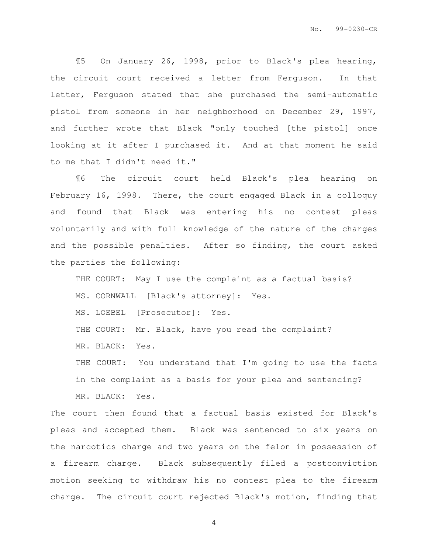¶5 On January 26, 1998, prior to Black's plea hearing, the circuit court received a letter from Ferguson. In that letter, Ferguson stated that she purchased the semi-automatic pistol from someone in her neighborhood on December 29, 1997, and further wrote that Black "only touched [the pistol] once looking at it after I purchased it. And at that moment he said to me that I didn't need it."

¶6 The circuit court held Black's plea hearing on February 16, 1998. There, the court engaged Black in a colloquy and found that Black was entering his no contest pleas voluntarily and with full knowledge of the nature of the charges and the possible penalties. After so finding, the court asked the parties the following:

THE COURT: May I use the complaint as a factual basis? MS. CORNWALL [Black's attorney]: Yes.

MS. LOEBEL [Prosecutor]: Yes.

THE COURT: Mr. Black, have you read the complaint?

MR. BLACK: Yes.

THE COURT: You understand that I'm going to use the facts in the complaint as a basis for your plea and sentencing? MR. BLACK: Yes.

The court then found that a factual basis existed for Black's pleas and accepted them. Black was sentenced to six years on the narcotics charge and two years on the felon in possession of a firearm charge. Black subsequently filed a postconviction motion seeking to withdraw his no contest plea to the firearm charge. The circuit court rejected Black's motion, finding that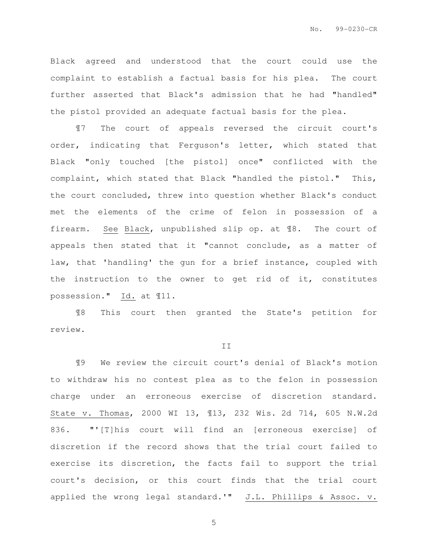Black agreed and understood that the court could use the complaint to establish a factual basis for his plea. The court further asserted that Black's admission that he had "handled" the pistol provided an adequate factual basis for the plea.

¶7 The court of appeals reversed the circuit court's order, indicating that Ferguson's letter, which stated that Black "only touched [the pistol] once" conflicted with the complaint, which stated that Black "handled the pistol." This, the court concluded, threw into question whether Black's conduct met the elements of the crime of felon in possession of a firearm. See Black, unpublished slip op. at ¶8. The court of appeals then stated that it "cannot conclude, as a matter of law, that 'handling' the gun for a brief instance, coupled with the instruction to the owner to get rid of it, constitutes possession." Id. at ¶11.

¶8 This court then granted the State's petition for review.

### II

¶9 We review the circuit court's denial of Black's motion to withdraw his no contest plea as to the felon in possession charge under an erroneous exercise of discretion standard. State v. Thomas, 2000 WI 13, ¶13, 232 Wis. 2d 714, 605 N.W.2d 836. "'[T]his court will find an [erroneous exercise] of discretion if the record shows that the trial court failed to exercise its discretion, the facts fail to support the trial court's decision, or this court finds that the trial court applied the wrong legal standard.'" J.L. Phillips & Assoc. v.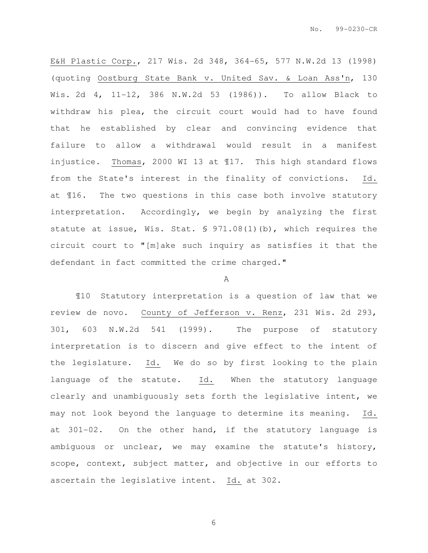E&H Plastic Corp., 217 Wis. 2d 348, 364-65, 577 N.W.2d 13 (1998) (quoting Oostburg State Bank v. United Sav. & Loan Ass'n, 130 Wis. 2d 4, 11-12, 386 N.W.2d 53 (1986)). To allow Black to withdraw his plea, the circuit court would had to have found that he established by clear and convincing evidence that failure to allow a withdrawal would result in a manifest injustice. Thomas, 2000 WI 13 at ¶17. This high standard flows from the State's interest in the finality of convictions. Id. at ¶16. The two questions in this case both involve statutory interpretation. Accordingly, we begin by analyzing the first statute at issue, Wis. Stat. § 971.08(1)(b), which requires the circuit court to "[m]ake such inquiry as satisfies it that the defendant in fact committed the crime charged."

## A

¶10 Statutory interpretation is a question of law that we review de novo. County of Jefferson v. Renz, 231 Wis. 2d 293, 301, 603 N.W.2d 541 (1999). The purpose of statutory interpretation is to discern and give effect to the intent of the legislature. Id. We do so by first looking to the plain language of the statute. Id. When the statutory language clearly and unambiguously sets forth the legislative intent, we may not look beyond the language to determine its meaning. Id. at 301-02. On the other hand, if the statutory language is ambiguous or unclear, we may examine the statute's history, scope, context, subject matter, and objective in our efforts to ascertain the legislative intent. Id. at 302.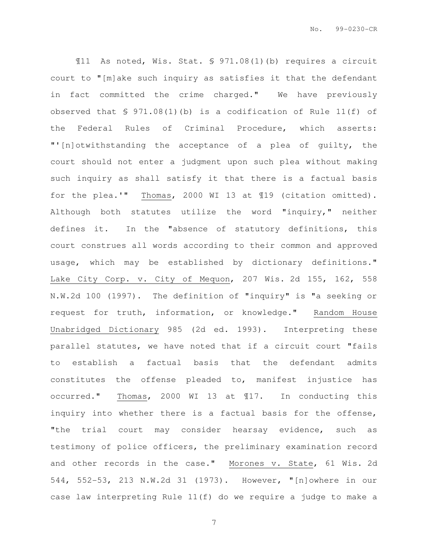¶11 As noted, Wis. Stat. § 971.08(1)(b) requires a circuit court to "[m]ake such inquiry as satisfies it that the defendant in fact committed the crime charged." We have previously observed that § 971.08(1)(b) is a codification of Rule 11(f) of the Federal Rules of Criminal Procedure, which asserts: "'[n]otwithstanding the acceptance of a plea of guilty, the court should not enter a judgment upon such plea without making such inquiry as shall satisfy it that there is a factual basis for the plea.'" Thomas, 2000 WI 13 at ¶19 (citation omitted). Although both statutes utilize the word "inquiry," neither defines it. In the "absence of statutory definitions, this court construes all words according to their common and approved usage, which may be established by dictionary definitions." Lake City Corp. v. City of Mequon, 207 Wis. 2d 155, 162, 558 N.W.2d 100 (1997). The definition of "inquiry" is "a seeking or request for truth, information, or knowledge." Random House Unabridged Dictionary 985 (2d ed. 1993). Interpreting these parallel statutes, we have noted that if a circuit court "fails to establish a factual basis that the defendant admits constitutes the offense pleaded to, manifest injustice has occurred." Thomas, 2000 WI 13 at ¶17. In conducting this inquiry into whether there is a factual basis for the offense, "the trial court may consider hearsay evidence, such as testimony of police officers, the preliminary examination record and other records in the case." Morones v. State, 61 Wis. 2d 544, 552-53, 213 N.W.2d 31 (1973). However, "[n]owhere in our case law interpreting Rule 11(f) do we require a judge to make a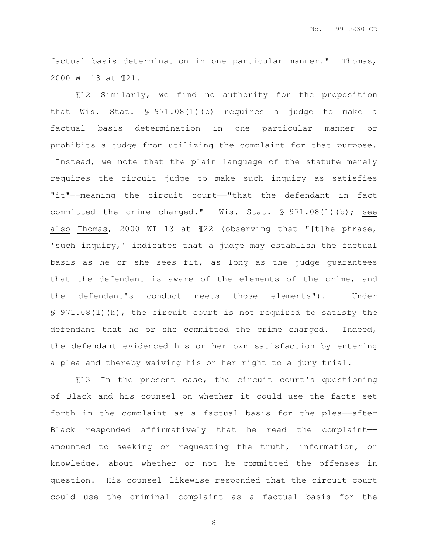factual basis determination in one particular manner." Thomas, 2000 WI 13 at ¶21.

¶12 Similarly, we find no authority for the proposition that Wis. Stat. § 971.08(1)(b) requires a judge to make a factual basis determination in one particular manner or prohibits a judge from utilizing the complaint for that purpose. Instead, we note that the plain language of the statute merely requires the circuit judge to make such inquiry as satisfies "it"——meaning the circuit court——"that the defendant in fact committed the crime charged." Wis. Stat. § 971.08(1)(b); see also Thomas, 2000 WI 13 at ¶22 (observing that "[t]he phrase, 'such inquiry,' indicates that a judge may establish the factual basis as he or she sees fit, as long as the judge guarantees that the defendant is aware of the elements of the crime, and the defendant's conduct meets those elements"). Under § 971.08(1)(b), the circuit court is not required to satisfy the defendant that he or she committed the crime charged. Indeed, the defendant evidenced his or her own satisfaction by entering a plea and thereby waiving his or her right to a jury trial.

¶13 In the present case, the circuit court's questioning of Black and his counsel on whether it could use the facts set forth in the complaint as a factual basis for the plea--after Black responded affirmatively that he read the complaint— amounted to seeking or requesting the truth, information, or knowledge, about whether or not he committed the offenses in question. His counsel likewise responded that the circuit court could use the criminal complaint as a factual basis for the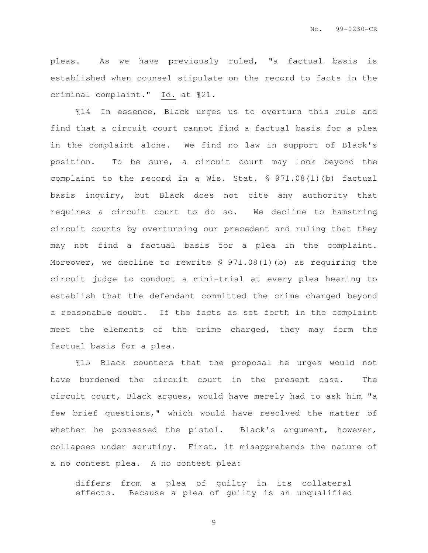pleas. As we have previously ruled, "a factual basis is established when counsel stipulate on the record to facts in the criminal complaint." Id. at ¶21.

¶14 In essence, Black urges us to overturn this rule and find that a circuit court cannot find a factual basis for a plea in the complaint alone. We find no law in support of Black's position. To be sure, a circuit court may look beyond the complaint to the record in a Wis. Stat. § 971.08(1)(b) factual basis inquiry, but Black does not cite any authority that requires a circuit court to do so. We decline to hamstring circuit courts by overturning our precedent and ruling that they may not find a factual basis for a plea in the complaint. Moreover, we decline to rewrite  $\S$  971.08(1)(b) as requiring the circuit judge to conduct a mini-trial at every plea hearing to establish that the defendant committed the crime charged beyond a reasonable doubt. If the facts as set forth in the complaint meet the elements of the crime charged, they may form the factual basis for a plea.

¶15 Black counters that the proposal he urges would not have burdened the circuit court in the present case. The circuit court, Black argues, would have merely had to ask him "a few brief questions," which would have resolved the matter of whether he possessed the pistol. Black's argument, however, collapses under scrutiny. First, it misapprehends the nature of a no contest plea. A no contest plea:

differs from a plea of guilty in its collateral effects. Because a plea of guilty is an unqualified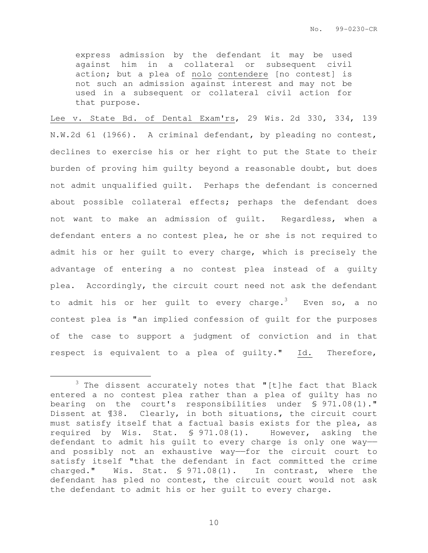express admission by the defendant it may be used against him in a collateral or subsequent civil action; but a plea of nolo contendere [no contest] is not such an admission against interest and may not be used in a subsequent or collateral civil action for that purpose.

Lee v. State Bd. of Dental Exam'rs, 29 Wis. 2d 330, 334, 139 N.W.2d 61 (1966). A criminal defendant, by pleading no contest, declines to exercise his or her right to put the State to their burden of proving him guilty beyond a reasonable doubt, but does not admit unqualified guilt. Perhaps the defendant is concerned about possible collateral effects; perhaps the defendant does not want to make an admission of guilt. Regardless, when a defendant enters a no contest plea, he or she is not required to admit his or her guilt to every charge, which is precisely the advantage of entering a no contest plea instead of a guilty plea. Accordingly, the circuit court need not ask the defendant to admit his or her quilt to every charge.<sup>3</sup> Even so, a no contest plea is "an implied confession of guilt for the purposes of the case to support a judgment of conviction and in that respect is equivalent to a plea of guilty." Id. Therefore,

e<br>S

 $3$  The dissent accurately notes that "[t]he fact that Black entered a no contest plea rather than a plea of guilty has no bearing on the court's responsibilities under § 971.08(1)." Dissent at ¶38. Clearly, in both situations, the circuit court must satisfy itself that a factual basis exists for the plea, as required by Wis. Stat. § 971.08(1). However, asking the defendant to admit his guilt to every charge is only one way— and possibly not an exhaustive way——for the circuit court to satisfy itself "that the defendant in fact committed the crime charged." Wis. Stat. § 971.08(1). In contrast, where the defendant has pled no contest, the circuit court would not ask the defendant to admit his or her guilt to every charge.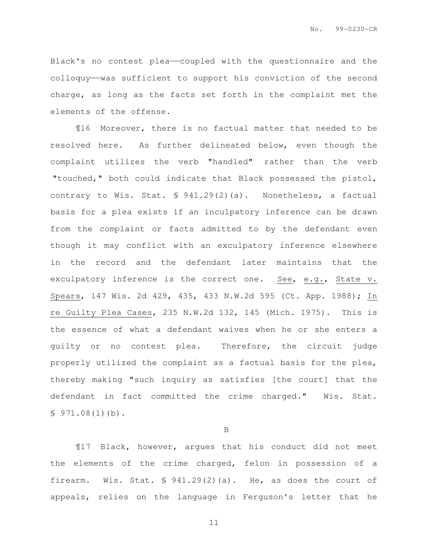Black's no contest plea——coupled with the questionnaire and the colloquy——was sufficient to support his conviction of the second charge, as long as the facts set forth in the complaint met the elements of the offense.

¶16 Moreover, there is no factual matter that needed to be resolved here. As further delineated below, even though the complaint utilizes the verb "handled" rather than the verb "touched," both could indicate that Black possessed the pistol, contrary to Wis. Stat. § 941.29(2)(a). Nonetheless, a factual basis for a plea exists if an inculpatory inference can be drawn from the complaint or facts admitted to by the defendant even though it may conflict with an exculpatory inference elsewhere in the record and the defendant later maintains that the exculpatory inference is the correct one. See, e.g., State v. Spears, 147 Wis. 2d 429, 435, 433 N.W.2d 595 (Ct. App. 1988); In re Guilty Plea Cases, 235 N.W.2d 132, 145 (Mich. 1975). This is the essence of what a defendant waives when he or she enters a guilty or no contest plea. Therefore, the circuit judge properly utilized the complaint as a factual basis for the plea, thereby making "such inquiry as satisfies [the court] that the defendant in fact committed the crime charged." Wis. Stat.  $$971.08(1)(b)$ .

B

¶17 Black, however, argues that his conduct did not meet the elements of the crime charged, felon in possession of a firearm. Wis. Stat. § 941.29(2)(a). He, as does the court of appeals, relies on the language in Ferguson's letter that he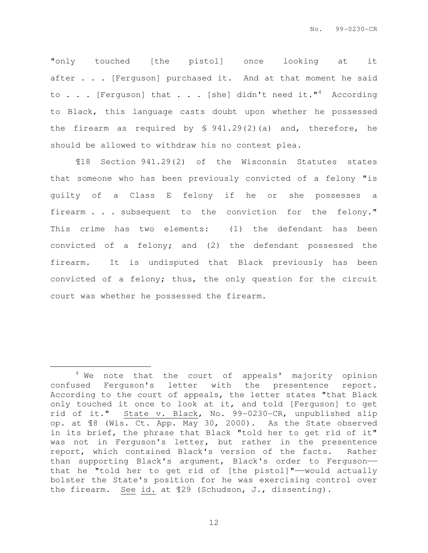"only touched [the pistol] once looking at it after . . . [Ferguson] purchased it. And at that moment he said to . . . [Ferguson] that . . . [she] didn't need it."<sup>4</sup> According to Black, this language casts doubt upon whether he possessed the firearm as required by § 941.29(2)(a) and, therefore, he should be allowed to withdraw his no contest plea.

¶18 Section 941.29(2) of the Wisconsin Statutes states that someone who has been previously convicted of a felony "is guilty of a Class E felony if he or she possesses a firearm . . . subsequent to the conviction for the felony." This crime has two elements: (1) the defendant has been convicted of a felony; and (2) the defendant possessed the firearm. It is undisputed that Black previously has been convicted of a felony; thus, the only question for the circuit court was whether he possessed the firearm.

i

<sup>&</sup>lt;sup>4</sup> We note that the court of appeals' majority opinion confused Ferguson's letter with the presentence report. According to the court of appeals, the letter states "that Black only touched it once to look at it, and told [Ferguson] to get rid of it." State v. Black, No. 99-0230-CR, unpublished slip op. at ¶8 (Wis. Ct. App. May 30, 2000). As the State observed in its brief, the phrase that Black "told her to get rid of it" was not in Ferguson's letter, but rather in the presentence report, which contained Black's version of the facts. Rather than supporting Black's argument, Black's order to Ferguson— that he "told her to get rid of [the pistol]"——would actually bolster the State's position for he was exercising control over the firearm. See id. at ¶29 (Schudson, J., dissenting).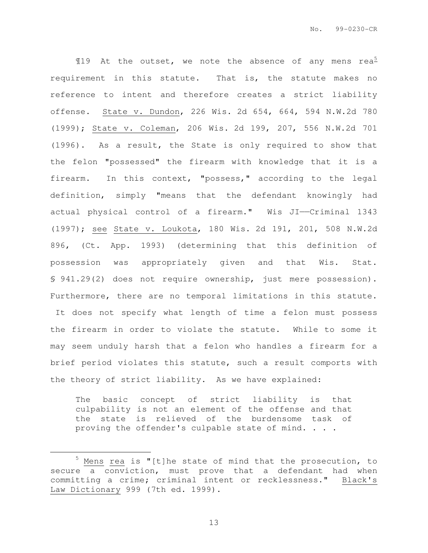$\text{I}19$  At the outset, we note the absence of any mens rea<sup>5</sup> requirement in this statute. That is, the statute makes no reference to intent and therefore creates a strict liability offense. State v. Dundon, 226 Wis. 2d 654, 664, 594 N.W.2d 780 (1999); State v. Coleman, 206 Wis. 2d 199, 207, 556 N.W.2d 701 (1996). As a result, the State is only required to show that the felon "possessed" the firearm with knowledge that it is a firearm. In this context, "possess," according to the legal definition, simply "means that the defendant knowingly had actual physical control of a firearm." Wis JI——Criminal 1343 (1997); see State v. Loukota, 180 Wis. 2d 191, 201, 508 N.W.2d 896, (Ct. App. 1993) (determining that this definition of possession was appropriately given and that Wis. Stat. § 941.29(2) does not require ownership, just mere possession). Furthermore, there are no temporal limitations in this statute. It does not specify what length of time a felon must possess the firearm in order to violate the statute. While to some it may seem unduly harsh that a felon who handles a firearm for a brief period violates this statute, such a result comports with the theory of strict liability. As we have explained:

The basic concept of strict liability is that culpability is not an element of the offense and that the state is relieved of the burdensome task of proving the offender's culpable state of mind. . . .

 $5$  Mens rea is "[t]he state of mind that the prosecution, to secure a conviction, must prove that a defendant had when committing a crime; criminal intent or recklessness." Black's Law Dictionary 999 (7th ed. 1999).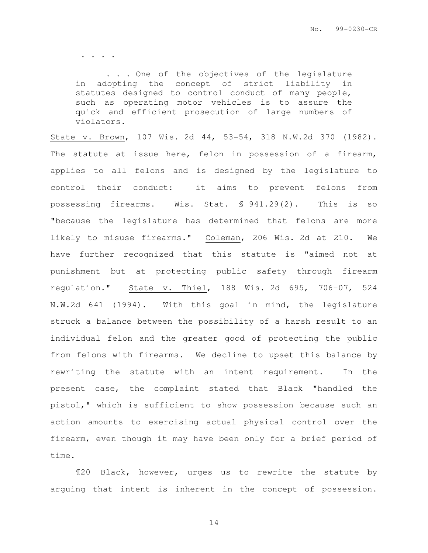. . . .

 . . . One of the objectives of the legislature in adopting the concept of strict liability in statutes designed to control conduct of many people, such as operating motor vehicles is to assure the quick and efficient prosecution of large numbers of violators.

State v. Brown, 107 Wis. 2d 44, 53-54, 318 N.W.2d 370 (1982). The statute at issue here, felon in possession of a firearm, applies to all felons and is designed by the legislature to control their conduct: it aims to prevent felons from possessing firearms. Wis. Stat. § 941.29(2). This is so "because the legislature has determined that felons are more likely to misuse firearms." Coleman, 206 Wis. 2d at 210. We have further recognized that this statute is "aimed not at punishment but at protecting public safety through firearm regulation." State v. Thiel, 188 Wis. 2d 695, 706-07, 524 N.W.2d 641 (1994). With this goal in mind, the legislature struck a balance between the possibility of a harsh result to an individual felon and the greater good of protecting the public from felons with firearms. We decline to upset this balance by rewriting the statute with an intent requirement. In the present case, the complaint stated that Black "handled the pistol," which is sufficient to show possession because such an action amounts to exercising actual physical control over the firearm, even though it may have been only for a brief period of time.

¶20 Black, however, urges us to rewrite the statute by arguing that intent is inherent in the concept of possession.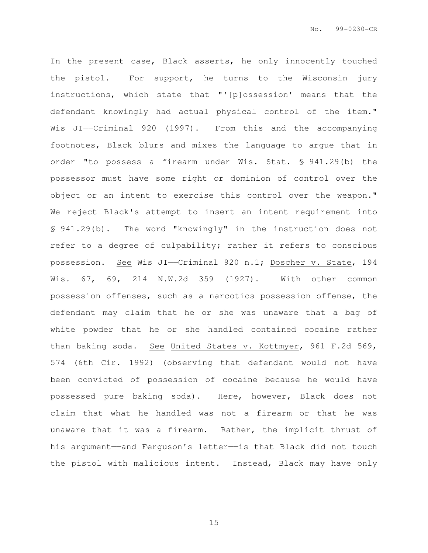In the present case, Black asserts, he only innocently touched the pistol. For support, he turns to the Wisconsin jury instructions, which state that "'[p]ossession' means that the defendant knowingly had actual physical control of the item." Wis JI——Criminal 920 (1997). From this and the accompanying footnotes, Black blurs and mixes the language to argue that in order "to possess a firearm under Wis. Stat. § 941.29(b) the possessor must have some right or dominion of control over the object or an intent to exercise this control over the weapon." We reject Black's attempt to insert an intent requirement into § 941.29(b). The word "knowingly" in the instruction does not refer to a degree of culpability; rather it refers to conscious possession. See Wis JI——Criminal 920 n.1; Doscher v. State, 194 Wis. 67, 69, 214 N.W.2d 359 (1927). With other common possession offenses, such as a narcotics possession offense, the defendant may claim that he or she was unaware that a bag of white powder that he or she handled contained cocaine rather than baking soda. See United States v. Kottmyer, 961 F.2d 569, 574 (6th Cir. 1992) (observing that defendant would not have been convicted of possession of cocaine because he would have possessed pure baking soda). Here, however, Black does not claim that what he handled was not a firearm or that he was unaware that it was a firearm. Rather, the implicit thrust of his argument—and Ferguson's letter—is that Black did not touch the pistol with malicious intent. Instead, Black may have only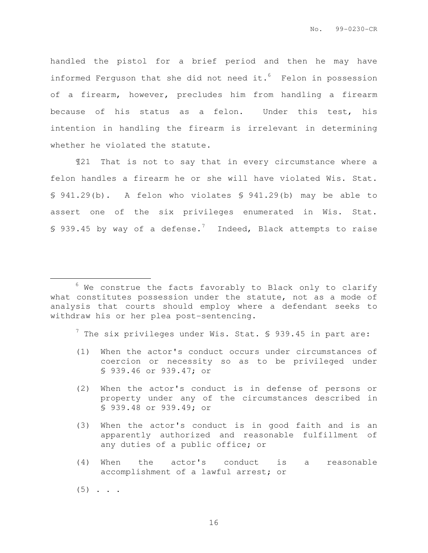handled the pistol for a brief period and then he may have informed Ferguson that she did not need it. $6$  Felon in possession of a firearm, however, precludes him from handling a firearm because of his status as a felon. Under this test, his intention in handling the firearm is irrelevant in determining whether he violated the statute.

¶21 That is not to say that in every circumstance where a felon handles a firearm he or she will have violated Wis. Stat. § 941.29(b). A felon who violates § 941.29(b) may be able to assert one of the six privileges enumerated in Wis. Stat. § 939.45 by way of a defense.<sup>7</sup> Indeed, Black attempts to raise

 $^7$  The six privileges under Wis. Stat. § 939.45 in part are:

- (1) When the actor's conduct occurs under circumstances of coercion or necessity so as to be privileged under § 939.46 or 939.47; or
- (2) When the actor's conduct is in defense of persons or property under any of the circumstances described in § 939.48 or 939.49; or
- (3) When the actor's conduct is in good faith and is an apparently authorized and reasonable fulfillment of any duties of a public office; or
- (4) When the actor's conduct is a reasonable accomplishment of a lawful arrest; or

e<br>S

 $6$  We construe the facts favorably to Black only to clarify what constitutes possession under the statute, not as a mode of analysis that courts should employ where a defendant seeks to withdraw his or her plea post-sentencing.

 $(5)$  . . .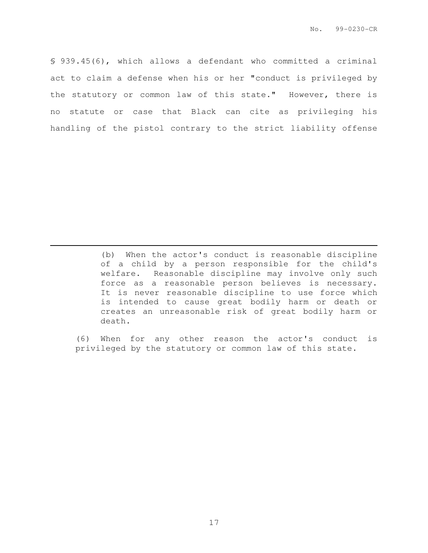§ 939.45(6), which allows a defendant who committed a criminal act to claim a defense when his or her "conduct is privileged by the statutory or common law of this state." However, there is no statute or case that Black can cite as privileging his handling of the pistol contrary to the strict liability offense

e<br>S

(b) When the actor's conduct is reasonable discipline of a child by a person responsible for the child's welfare. Reasonable discipline may involve only such force as a reasonable person believes is necessary. It is never reasonable discipline to use force which is intended to cause great bodily harm or death or creates an unreasonable risk of great bodily harm or death.

(6) When for any other reason the actor's conduct is privileged by the statutory or common law of this state.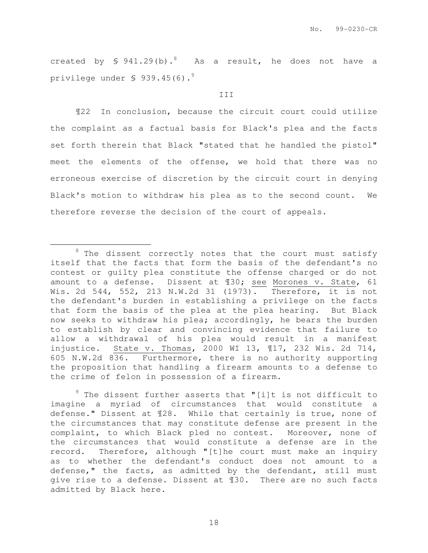created by  $\frac{6}{5}$  941.29(b).<sup>8</sup> As a result, he does not have a privilege under § 939.45(6).<sup>9</sup>

#### III

¶22 In conclusion, because the circuit court could utilize the complaint as a factual basis for Black's plea and the facts set forth therein that Black "stated that he handled the pistol" meet the elements of the offense, we hold that there was no erroneous exercise of discretion by the circuit court in denying Black's motion to withdraw his plea as to the second count. We therefore reverse the decision of the court of appeals.

e<br>S

 $9$  The dissent further asserts that "[i]t is not difficult to imagine a myriad of circumstances that would constitute a defense." Dissent at ¶28. While that certainly is true, none of the circumstances that may constitute defense are present in the complaint, to which Black pled no contest. Moreover, none of the circumstances that would constitute a defense are in the record. Therefore, although "[t]he court must make an inquiry as to whether the defendant's conduct does not amount to a defense," the facts, as admitted by the defendant, still must give rise to a defense. Dissent at ¶30. There are no such facts admitted by Black here.

 $8$  The dissent correctly notes that the court must satisfy itself that the facts that form the basis of the defendant's no contest or guilty plea constitute the offense charged or do not amount to a defense. Dissent at ¶30; see Morones v. State, 61 Wis. 2d 544, 552, 213 N.W.2d 31 (1973). Therefore, it is not the defendant's burden in establishing a privilege on the facts that form the basis of the plea at the plea hearing. But Black now seeks to withdraw his plea; accordingly, he bears the burden to establish by clear and convincing evidence that failure to allow a withdrawal of his plea would result in a manifest injustice. State v. Thomas, 2000 WI 13, ¶17, 232 Wis. 2d 714, 605 N.W.2d 836. Furthermore, there is no authority supporting the proposition that handling a firearm amounts to a defense to the crime of felon in possession of a firearm.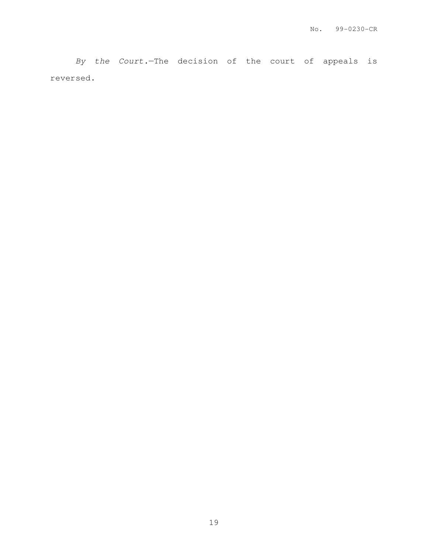By the Court.—The decision of the court of appeals is reversed.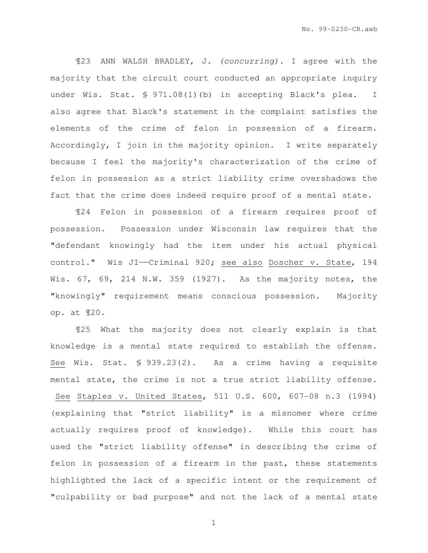¶23 ANN WALSH BRADLEY, J. (concurring). I agree with the majority that the circuit court conducted an appropriate inquiry under Wis. Stat. § 971.08(1)(b) in accepting Black's plea. I also agree that Black's statement in the complaint satisfies the elements of the crime of felon in possession of a firearm. Accordingly, I join in the majority opinion. I write separately because I feel the majority's characterization of the crime of felon in possession as a strict liability crime overshadows the fact that the crime does indeed require proof of a mental state.

¶24 Felon in possession of a firearm requires proof of possession. Possession under Wisconsin law requires that the "defendant knowingly had the item under his actual physical control." Wis JI——Criminal 920; see also Doscher v. State, 194 Wis. 67, 69, 214 N.W. 359 (1927). As the majority notes, the "knowingly" requirement means conscious possession. Majority op. at ¶20.

¶25 What the majority does not clearly explain is that knowledge is a mental state required to establish the offense. See Wis. Stat. § 939.23(2). As a crime having a requisite mental state, the crime is not a true strict liability offense. See Staples v. United States, 511 U.S. 600, 607-08 n.3 (1994) (explaining that "strict liability" is a misnomer where crime actually requires proof of knowledge). While this court has used the "strict liability offense" in describing the crime of felon in possession of a firearm in the past, these statements highlighted the lack of a specific intent or the requirement of "culpability or bad purpose" and not the lack of a mental state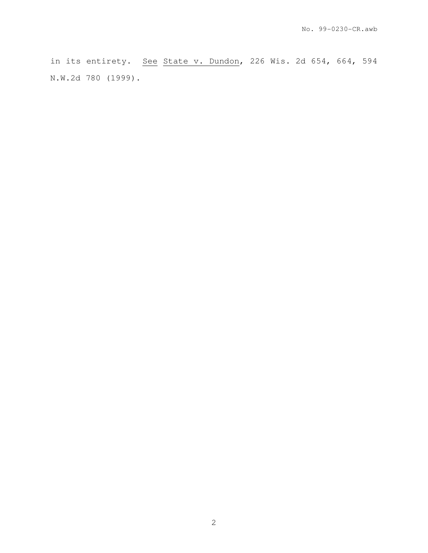in its entirety. See State v. Dundon, 226 Wis. 2d 654, 664, 594 N.W.2d 780 (1999).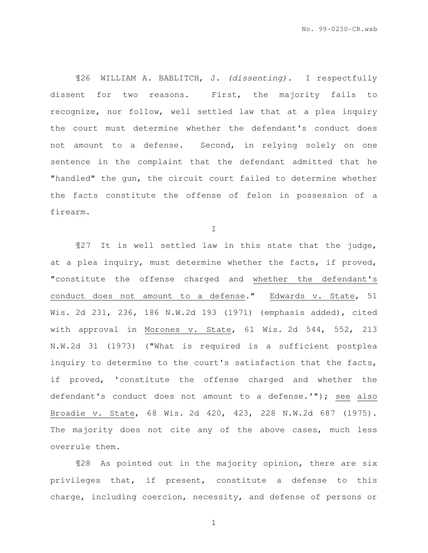¶26 WILLIAM A. BABLITCH, J. (dissenting). I respectfully dissent for two reasons. First, the majority fails to recognize, nor follow, well settled law that at a plea inquiry the court must determine whether the defendant's conduct does not amount to a defense. Second, in relying solely on one sentence in the complaint that the defendant admitted that he "handled" the gun, the circuit court failed to determine whether the facts constitute the offense of felon in possession of a firearm.

I

¶27 It is well settled law in this state that the judge, at a plea inquiry, must determine whether the facts, if proved, "constitute the offense charged and whether the defendant's conduct does not amount to a defense." Edwards v. State, 51 Wis. 2d 231, 236, 186 N.W.2d 193 (1971) (emphasis added), cited with approval in Morones v. State, 61 Wis. 2d 544, 552, 213 N.W.2d 31 (1973) ("What is required is a sufficient postplea inquiry to determine to the court's satisfaction that the facts, if proved, 'constitute the offense charged and whether the defendant's conduct does not amount to a defense.'"); see also Broadie v. State, 68 Wis. 2d 420, 423, 228 N.W.2d 687 (1975). The majority does not cite any of the above cases, much less overrule them.

¶28 As pointed out in the majority opinion, there are six privileges that, if present, constitute a defense to this charge, including coercion, necessity, and defense of persons or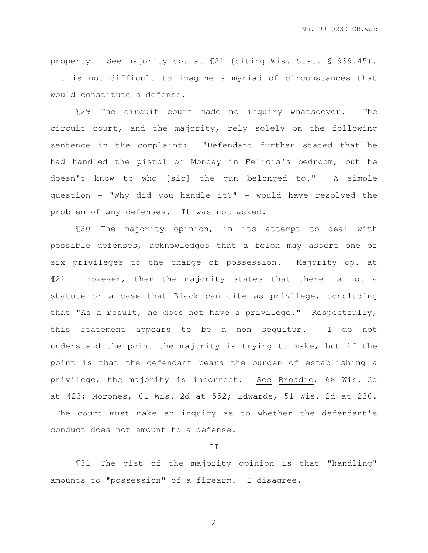property. See majority op. at ¶21 (citing Wis. Stat. § 939.45). It is not difficult to imagine a myriad of circumstances that would constitute a defense.

¶29 The circuit court made no inquiry whatsoever. The circuit court, and the majority, rely solely on the following sentence in the complaint: "Defendant further stated that he had handled the pistol on Monday in Felicia's bedroom, but he doesn't know to who [sic] the gun belonged to." A simple question - "Why did you handle it?" - would have resolved the problem of any defenses. It was not asked.

¶30 The majority opinion, in its attempt to deal with possible defenses, acknowledges that a felon may assert one of six privileges to the charge of possession. Majority op. at ¶21. However, then the majority states that there is not a statute or a case that Black can cite as privilege, concluding that "As a result, he does not have a privilege." Respectfully, this statement appears to be a non sequitur. I do not understand the point the majority is trying to make, but if the point is that the defendant bears the burden of establishing a privilege, the majority is incorrect. See Broadie, 68 Wis. 2d at 423; Morones, 61 Wis. 2d at 552; Edwards, 51 Wis. 2d at 236. The court must make an inquiry as to whether the defendant's conduct does not amount to a defense.

### II

¶31 The gist of the majority opinion is that "handling" amounts to "possession" of a firearm. I disagree.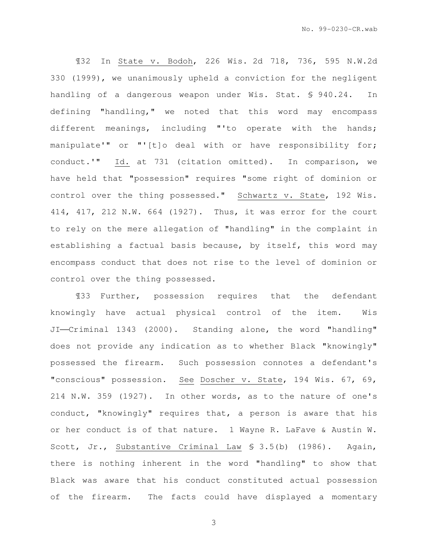¶32 In State v. Bodoh, 226 Wis. 2d 718, 736, 595 N.W.2d 330 (1999), we unanimously upheld a conviction for the negligent handling of a dangerous weapon under Wis. Stat. \$ 940.24. In defining "handling," we noted that this word may encompass different meanings, including "'to operate with the hands; manipulate'" or "'[t]o deal with or have responsibility for; conduct.'" Id. at 731 (citation omitted). In comparison, we have held that "possession" requires "some right of dominion or control over the thing possessed." Schwartz v. State, 192 Wis. 414, 417, 212 N.W. 664 (1927). Thus, it was error for the court to rely on the mere allegation of "handling" in the complaint in establishing a factual basis because, by itself, this word may encompass conduct that does not rise to the level of dominion or control over the thing possessed.

¶33 Further, possession requires that the defendant knowingly have actual physical control of the item. Wis JI-Criminal 1343 (2000). Standing alone, the word "handling" does not provide any indication as to whether Black "knowingly" possessed the firearm. Such possession connotes a defendant's "conscious" possession. See Doscher v. State, 194 Wis. 67, 69, 214 N.W. 359 (1927). In other words, as to the nature of one's conduct, "knowingly" requires that, a person is aware that his or her conduct is of that nature. 1 Wayne R. LaFave & Austin W. Scott, Jr., Substantive Criminal Law § 3.5(b) (1986). Again, there is nothing inherent in the word "handling" to show that Black was aware that his conduct constituted actual possession of the firearm. The facts could have displayed a momentary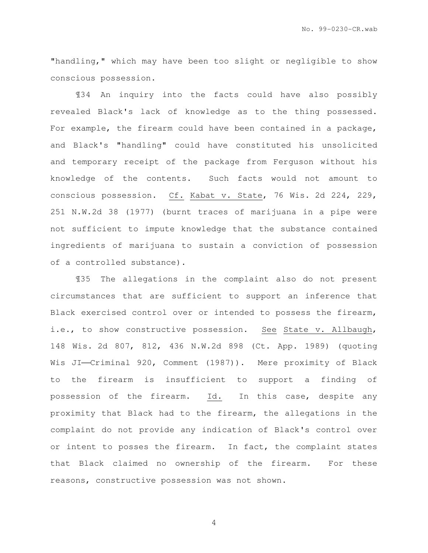"handling," which may have been too slight or negligible to show conscious possession.

¶34 An inquiry into the facts could have also possibly revealed Black's lack of knowledge as to the thing possessed. For example, the firearm could have been contained in a package, and Black's "handling" could have constituted his unsolicited and temporary receipt of the package from Ferguson without his knowledge of the contents. Such facts would not amount to conscious possession. Cf. Kabat v. State, 76 Wis. 2d 224, 229, 251 N.W.2d 38 (1977) (burnt traces of marijuana in a pipe were not sufficient to impute knowledge that the substance contained ingredients of marijuana to sustain a conviction of possession of a controlled substance).

¶35 The allegations in the complaint also do not present circumstances that are sufficient to support an inference that Black exercised control over or intended to possess the firearm, i.e., to show constructive possession. See State v. Allbaugh, 148 Wis. 2d 807, 812, 436 N.W.2d 898 (Ct. App. 1989) (quoting Wis JI-Criminal 920, Comment (1987)). Mere proximity of Black to the firearm is insufficient to support a finding of possession of the firearm. Id. In this case, despite any proximity that Black had to the firearm, the allegations in the complaint do not provide any indication of Black's control over or intent to posses the firearm. In fact, the complaint states that Black claimed no ownership of the firearm. For these reasons, constructive possession was not shown.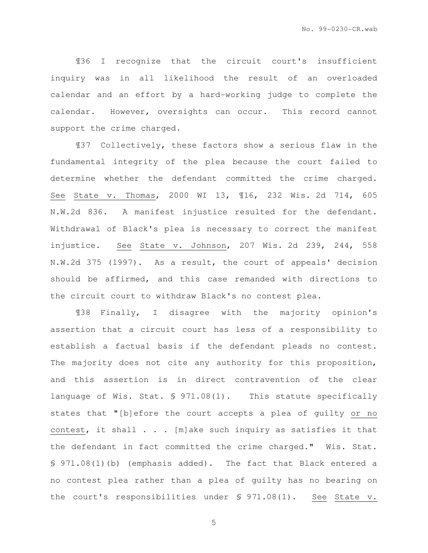¶36 I recognize that the circuit court's insufficient inquiry was in all likelihood the result of an overloaded calendar and an effort by a hard-working judge to complete the calendar. However, oversights can occur. This record cannot support the crime charged.

¶37 Collectively, these factors show a serious flaw in the fundamental integrity of the plea because the court failed to determine whether the defendant committed the crime charged. See State v. Thomas, 2000 WI 13, ¶16, 232 Wis. 2d 714, 605 N.W.2d 836. A manifest injustice resulted for the defendant. Withdrawal of Black's plea is necessary to correct the manifest injustice. See State v. Johnson, 207 Wis. 2d 239, 244, 558 N.W.2d 375 (1997). As a result, the court of appeals' decision should be affirmed, and this case remanded with directions to the circuit court to withdraw Black's no contest plea.

¶38 Finally, I disagree with the majority opinion's assertion that a circuit court has less of a responsibility to establish a factual basis if the defendant pleads no contest. The majority does not cite any authority for this proposition, and this assertion is in direct contravention of the clear language of Wis. Stat. § 971.08(1). This statute specifically states that "[b]efore the court accepts a plea of guilty or no contest, it shall . . . [m]ake such inquiry as satisfies it that the defendant in fact committed the crime charged." Wis. Stat. § 971.08(1)(b) (emphasis added). The fact that Black entered a no contest plea rather than a plea of guilty has no bearing on the court's responsibilities under § 971.08(1). See State v.